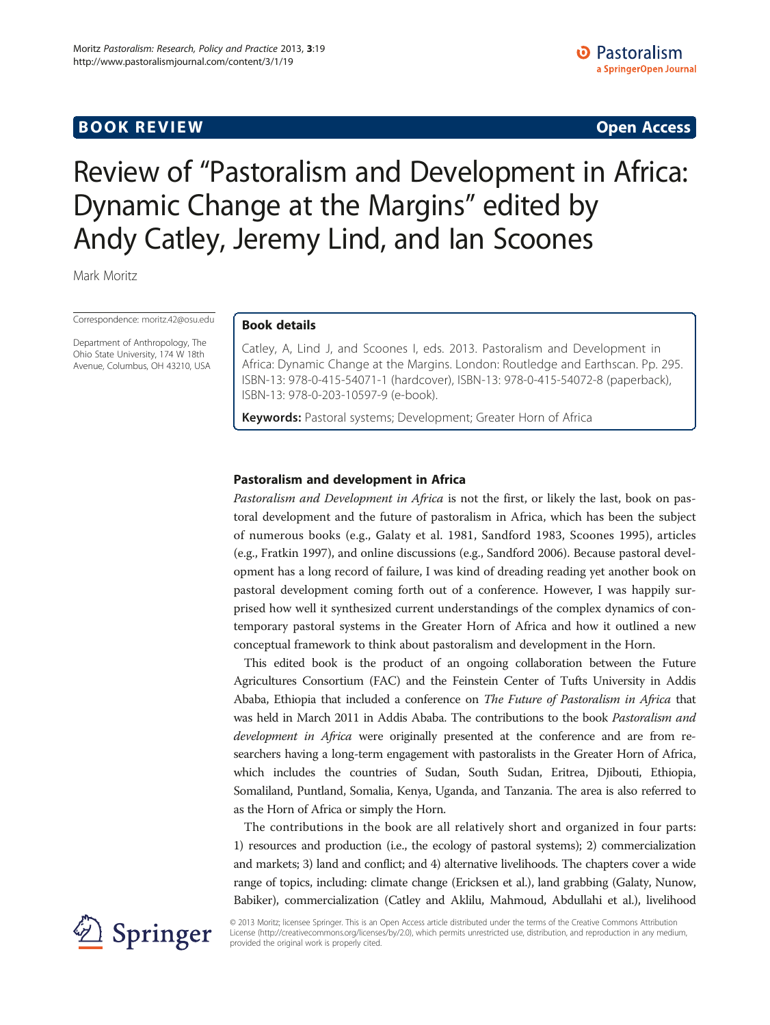# **BOOK REVIEW CONTROL** BOOK REVIEW

# Review of "Pastoralism and Development in Africa: Dynamic Change at the Margins" edited by Andy Catley, Jeremy Lind, and Ian Scoones

Mark Moritz

Correspondence: [moritz.42@osu.edu](mailto:moritz.42@osu.edu)

Department of Anthropology, The Ohio State University, 174 W 18th Avenue, Columbus, OH 43210, USA

## Book details

Catley, A, Lind J, and Scoones I, eds. 2013. Pastoralism and Development in Africa: Dynamic Change at the Margins. London: Routledge and Earthscan. Pp. 295. ISBN-13: 978-0-415-54071-1 (hardcover), ISBN-13: 978-0-415-54072-8 (paperback), ISBN-13: 978-0-203-10597-9 (e-book).

Keywords: Pastoral systems; Development; Greater Horn of Africa

# Pastoralism and development in Africa

Pastoralism and Development in Africa is not the first, or likely the last, book on pastoral development and the future of pastoralism in Africa, which has been the subject of numerous books (e.g., Galaty et al. [1981,](#page-4-0) Sandford [1983,](#page-4-0) Scoones [1995](#page-4-0)), articles (e.g., Fratkin [1997](#page-4-0)), and online discussions (e.g., Sandford [2006\)](#page-4-0). Because pastoral development has a long record of failure, I was kind of dreading reading yet another book on pastoral development coming forth out of a conference. However, I was happily surprised how well it synthesized current understandings of the complex dynamics of contemporary pastoral systems in the Greater Horn of Africa and how it outlined a new conceptual framework to think about pastoralism and development in the Horn.

This edited book is the product of an ongoing collaboration between the Future Agricultures Consortium (FAC) and the Feinstein Center of Tufts University in Addis Ababa, Ethiopia that included a conference on The Future of Pastoralism in Africa that was held in March 2011 in Addis Ababa. The contributions to the book Pastoralism and development in Africa were originally presented at the conference and are from researchers having a long-term engagement with pastoralists in the Greater Horn of Africa, which includes the countries of Sudan, South Sudan, Eritrea, Djibouti, Ethiopia, Somaliland, Puntland, Somalia, Kenya, Uganda, and Tanzania. The area is also referred to as the Horn of Africa or simply the Horn.

The contributions in the book are all relatively short and organized in four parts: 1) resources and production (i.e., the ecology of pastoral systems); 2) commercialization and markets; 3) land and conflict; and 4) alternative livelihoods. The chapters cover a wide range of topics, including: climate change (Ericksen et al.), land grabbing (Galaty, Nunow, Babiker), commercialization (Catley and Aklilu, Mahmoud, Abdullahi et al.), livelihood



© 2013 Moritz; licensee Springer. This is an Open Access article distributed under the terms of the Creative Commons Attribution License [\(http://creativecommons.org/licenses/by/2.0\)](http://creativecommons.org/licenses/by/2.0), which permits unrestricted use, distribution, and reproduction in any medium, provided the original work is properly cited.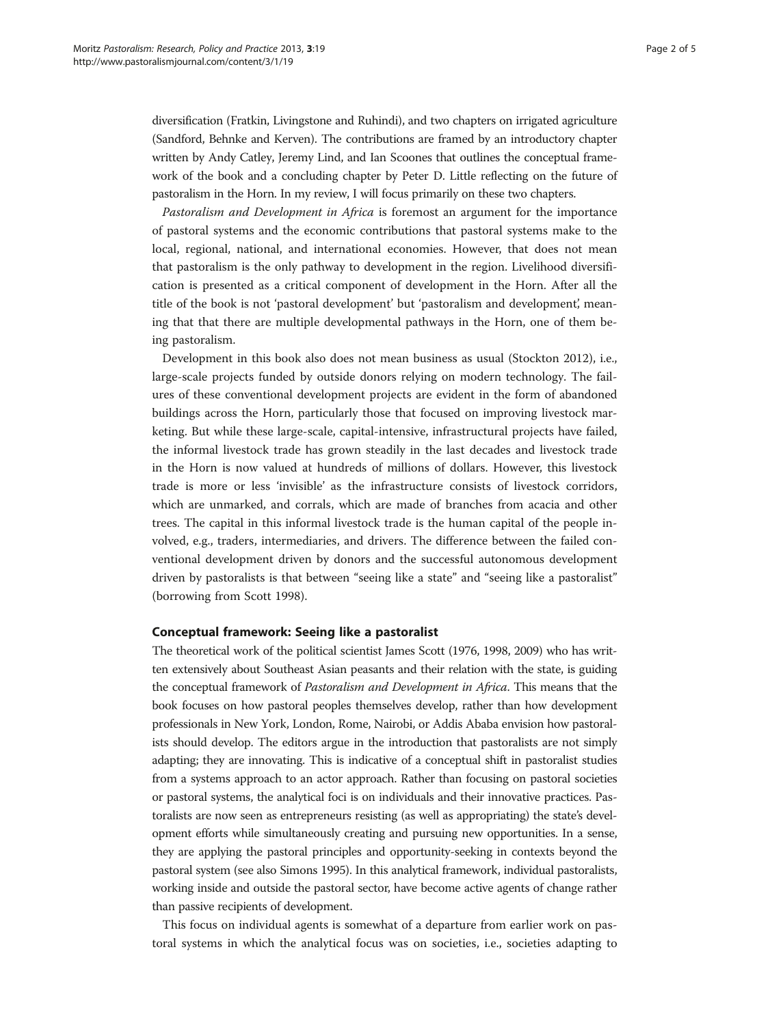diversification (Fratkin, Livingstone and Ruhindi), and two chapters on irrigated agriculture (Sandford, Behnke and Kerven). The contributions are framed by an introductory chapter written by Andy Catley, Jeremy Lind, and Ian Scoones that outlines the conceptual framework of the book and a concluding chapter by Peter D. Little reflecting on the future of pastoralism in the Horn. In my review, I will focus primarily on these two chapters.

Pastoralism and Development in Africa is foremost an argument for the importance of pastoral systems and the economic contributions that pastoral systems make to the local, regional, national, and international economies. However, that does not mean that pastoralism is the only pathway to development in the region. Livelihood diversification is presented as a critical component of development in the Horn. After all the title of the book is not 'pastoral development' but 'pastoralism and development', meaning that that there are multiple developmental pathways in the Horn, one of them being pastoralism.

Development in this book also does not mean business as usual (Stockton [2012\)](#page-4-0), i.e., large-scale projects funded by outside donors relying on modern technology. The failures of these conventional development projects are evident in the form of abandoned buildings across the Horn, particularly those that focused on improving livestock marketing. But while these large-scale, capital-intensive, infrastructural projects have failed, the informal livestock trade has grown steadily in the last decades and livestock trade in the Horn is now valued at hundreds of millions of dollars. However, this livestock trade is more or less 'invisible' as the infrastructure consists of livestock corridors, which are unmarked, and corrals, which are made of branches from acacia and other trees. The capital in this informal livestock trade is the human capital of the people involved, e.g., traders, intermediaries, and drivers. The difference between the failed conventional development driven by donors and the successful autonomous development driven by pastoralists is that between "seeing like a state" and "seeing like a pastoralist" (borrowing from Scott [1998](#page-4-0)).

#### Conceptual framework: Seeing like a pastoralist

The theoretical work of the political scientist James Scott [\(1976](#page-4-0), [1998, 2009\)](#page-4-0) who has written extensively about Southeast Asian peasants and their relation with the state, is guiding the conceptual framework of Pastoralism and Development in Africa. This means that the book focuses on how pastoral peoples themselves develop, rather than how development professionals in New York, London, Rome, Nairobi, or Addis Ababa envision how pastoralists should develop. The editors argue in the introduction that pastoralists are not simply adapting; they are innovating. This is indicative of a conceptual shift in pastoralist studies from a systems approach to an actor approach. Rather than focusing on pastoral societies or pastoral systems, the analytical foci is on individuals and their innovative practices. Pastoralists are now seen as entrepreneurs resisting (as well as appropriating) the state's development efforts while simultaneously creating and pursuing new opportunities. In a sense, they are applying the pastoral principles and opportunity-seeking in contexts beyond the pastoral system (see also Simons [1995](#page-4-0)). In this analytical framework, individual pastoralists, working inside and outside the pastoral sector, have become active agents of change rather than passive recipients of development.

This focus on individual agents is somewhat of a departure from earlier work on pastoral systems in which the analytical focus was on societies, i.e., societies adapting to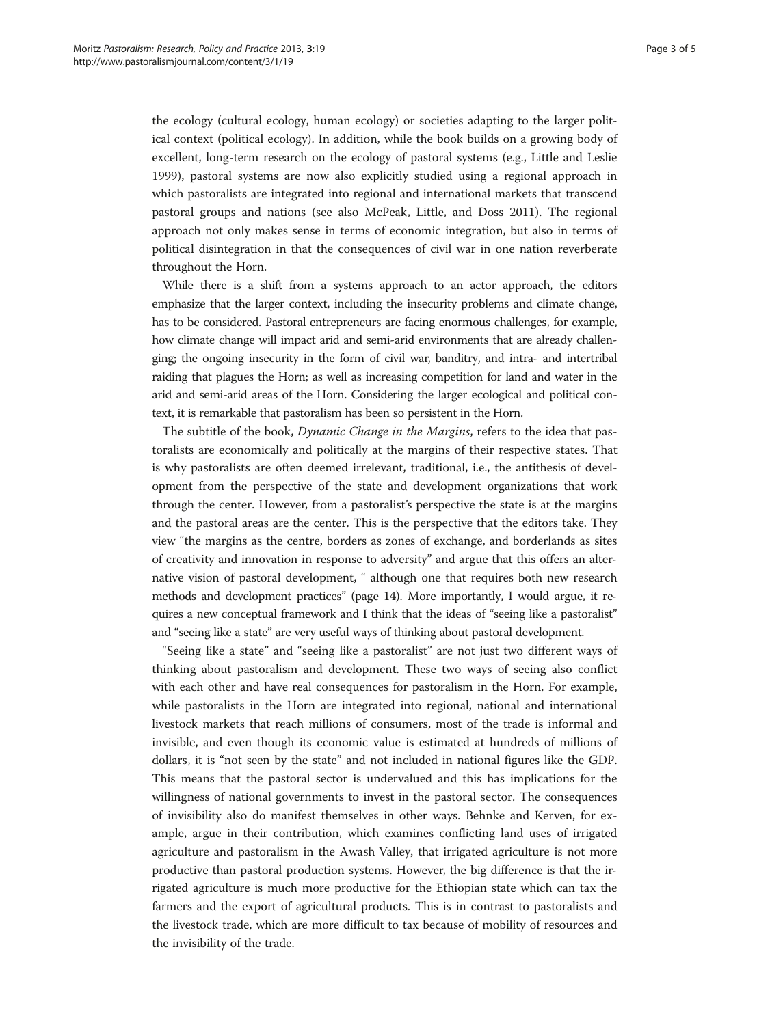the ecology (cultural ecology, human ecology) or societies adapting to the larger political context (political ecology). In addition, while the book builds on a growing body of excellent, long-term research on the ecology of pastoral systems (e.g., Little and Leslie [1999](#page-4-0)), pastoral systems are now also explicitly studied using a regional approach in which pastoralists are integrated into regional and international markets that transcend pastoral groups and nations (see also McPeak, Little, and Doss [2011](#page-4-0)). The regional approach not only makes sense in terms of economic integration, but also in terms of political disintegration in that the consequences of civil war in one nation reverberate throughout the Horn.

While there is a shift from a systems approach to an actor approach, the editors emphasize that the larger context, including the insecurity problems and climate change, has to be considered. Pastoral entrepreneurs are facing enormous challenges, for example, how climate change will impact arid and semi-arid environments that are already challenging; the ongoing insecurity in the form of civil war, banditry, and intra- and intertribal raiding that plagues the Horn; as well as increasing competition for land and water in the arid and semi-arid areas of the Horn. Considering the larger ecological and political context, it is remarkable that pastoralism has been so persistent in the Horn.

The subtitle of the book, Dynamic Change in the Margins, refers to the idea that pastoralists are economically and politically at the margins of their respective states. That is why pastoralists are often deemed irrelevant, traditional, i.e., the antithesis of development from the perspective of the state and development organizations that work through the center. However, from a pastoralist's perspective the state is at the margins and the pastoral areas are the center. This is the perspective that the editors take. They view "the margins as the centre, borders as zones of exchange, and borderlands as sites of creativity and innovation in response to adversity" and argue that this offers an alternative vision of pastoral development, " although one that requires both new research methods and development practices" (page 14). More importantly, I would argue, it requires a new conceptual framework and I think that the ideas of "seeing like a pastoralist" and "seeing like a state" are very useful ways of thinking about pastoral development.

"Seeing like a state" and "seeing like a pastoralist" are not just two different ways of thinking about pastoralism and development. These two ways of seeing also conflict with each other and have real consequences for pastoralism in the Horn. For example, while pastoralists in the Horn are integrated into regional, national and international livestock markets that reach millions of consumers, most of the trade is informal and invisible, and even though its economic value is estimated at hundreds of millions of dollars, it is "not seen by the state" and not included in national figures like the GDP. This means that the pastoral sector is undervalued and this has implications for the willingness of national governments to invest in the pastoral sector. The consequences of invisibility also do manifest themselves in other ways. Behnke and Kerven, for example, argue in their contribution, which examines conflicting land uses of irrigated agriculture and pastoralism in the Awash Valley, that irrigated agriculture is not more productive than pastoral production systems. However, the big difference is that the irrigated agriculture is much more productive for the Ethiopian state which can tax the farmers and the export of agricultural products. This is in contrast to pastoralists and the livestock trade, which are more difficult to tax because of mobility of resources and the invisibility of the trade.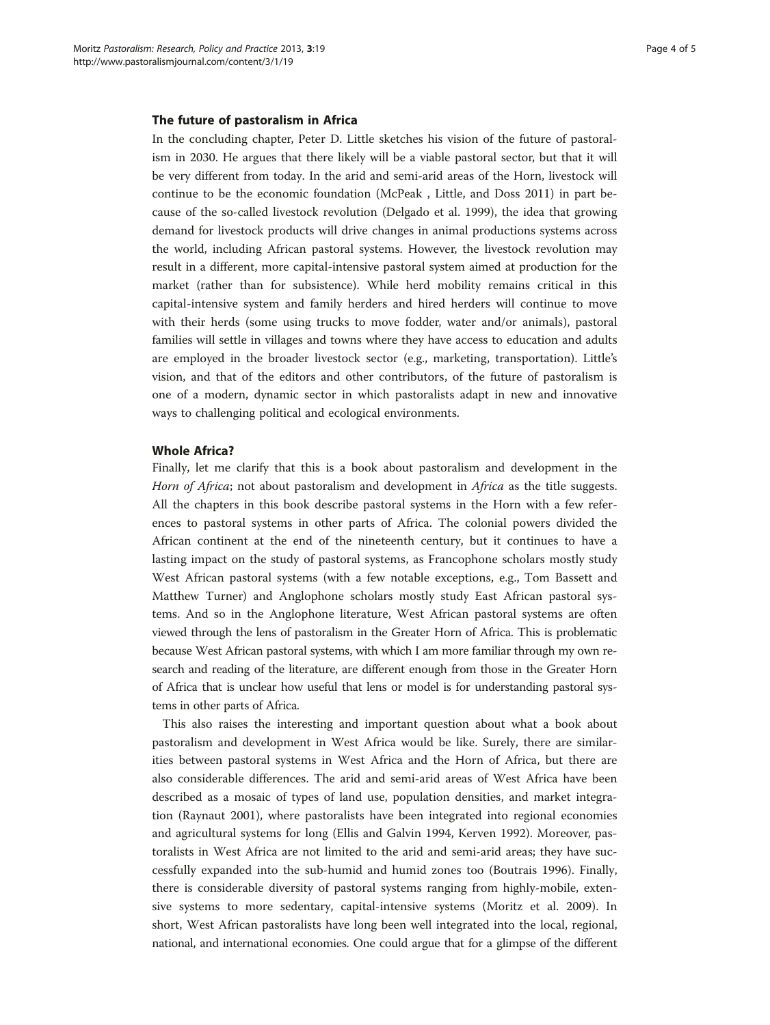#### The future of pastoralism in Africa

In the concluding chapter, Peter D. Little sketches his vision of the future of pastoralism in 2030. He argues that there likely will be a viable pastoral sector, but that it will be very different from today. In the arid and semi-arid areas of the Horn, livestock will continue to be the economic foundation (McPeak , Little, and Doss [2011\)](#page-4-0) in part because of the so-called livestock revolution (Delgado et al. [1999](#page-4-0)), the idea that growing demand for livestock products will drive changes in animal productions systems across the world, including African pastoral systems. However, the livestock revolution may result in a different, more capital-intensive pastoral system aimed at production for the market (rather than for subsistence). While herd mobility remains critical in this capital-intensive system and family herders and hired herders will continue to move with their herds (some using trucks to move fodder, water and/or animals), pastoral families will settle in villages and towns where they have access to education and adults are employed in the broader livestock sector (e.g., marketing, transportation). Little's vision, and that of the editors and other contributors, of the future of pastoralism is one of a modern, dynamic sector in which pastoralists adapt in new and innovative ways to challenging political and ecological environments.

#### Whole Africa?

Finally, let me clarify that this is a book about pastoralism and development in the Horn of Africa; not about pastoralism and development in Africa as the title suggests. All the chapters in this book describe pastoral systems in the Horn with a few references to pastoral systems in other parts of Africa. The colonial powers divided the African continent at the end of the nineteenth century, but it continues to have a lasting impact on the study of pastoral systems, as Francophone scholars mostly study West African pastoral systems (with a few notable exceptions, e.g., Tom Bassett and Matthew Turner) and Anglophone scholars mostly study East African pastoral systems. And so in the Anglophone literature, West African pastoral systems are often viewed through the lens of pastoralism in the Greater Horn of Africa. This is problematic because West African pastoral systems, with which I am more familiar through my own research and reading of the literature, are different enough from those in the Greater Horn of Africa that is unclear how useful that lens or model is for understanding pastoral systems in other parts of Africa.

This also raises the interesting and important question about what a book about pastoralism and development in West Africa would be like. Surely, there are similarities between pastoral systems in West Africa and the Horn of Africa, but there are also considerable differences. The arid and semi-arid areas of West Africa have been described as a mosaic of types of land use, population densities, and market integration (Raynaut [2001](#page-4-0)), where pastoralists have been integrated into regional economies and agricultural systems for long (Ellis and Galvin [1994](#page-4-0), Kerven [1992\)](#page-4-0). Moreover, pastoralists in West Africa are not limited to the arid and semi-arid areas; they have successfully expanded into the sub-humid and humid zones too (Boutrais [1996](#page-4-0)). Finally, there is considerable diversity of pastoral systems ranging from highly-mobile, extensive systems to more sedentary, capital-intensive systems (Moritz et al. [2009\)](#page-4-0). In short, West African pastoralists have long been well integrated into the local, regional, national, and international economies. One could argue that for a glimpse of the different